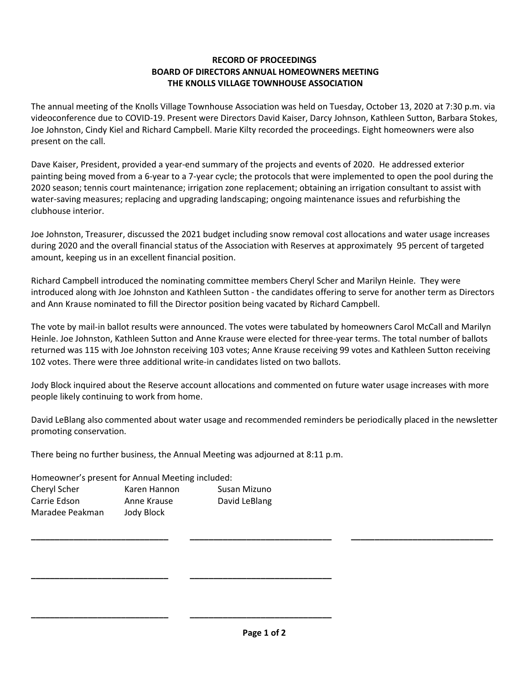## **RECORD OF PROCEEDINGS BOARD OF DIRECTORS ANNUAL HOMEOWNERS MEETING THE KNOLLS VILLAGE TOWNHOUSE ASSOCIATION**

The annual meeting of the Knolls Village Townhouse Association was held on Tuesday, October 13, 2020 at 7:30 p.m. via videoconference due to COVID-19. Present were Directors David Kaiser, Darcy Johnson, Kathleen Sutton, Barbara Stokes, Joe Johnston, Cindy Kiel and Richard Campbell. Marie Kilty recorded the proceedings. Eight homeowners were also present on the call.

Dave Kaiser, President, provided a year-end summary of the projects and events of 2020. He addressed exterior painting being moved from a 6-year to a 7-year cycle; the protocols that were implemented to open the pool during the 2020 season; tennis court maintenance; irrigation zone replacement; obtaining an irrigation consultant to assist with water-saving measures; replacing and upgrading landscaping; ongoing maintenance issues and refurbishing the clubhouse interior.

Joe Johnston, Treasurer, discussed the 2021 budget including snow removal cost allocations and water usage increases during 2020 and the overall financial status of the Association with Reserves at approximately 95 percent of targeted amount, keeping us in an excellent financial position.

Richard Campbell introduced the nominating committee members Cheryl Scher and Marilyn Heinle. They were introduced along with Joe Johnston and Kathleen Sutton - the candidates offering to serve for another term as Directors and Ann Krause nominated to fill the Director position being vacated by Richard Campbell.

The vote by mail-in ballot results were announced. The votes were tabulated by homeowners Carol McCall and Marilyn Heinle. Joe Johnston, Kathleen Sutton and Anne Krause were elected for three-year terms. The total number of ballots returned was 115 with Joe Johnston receiving 103 votes; Anne Krause receiving 99 votes and Kathleen Sutton receiving 102 votes. There were three additional write-in candidates listed on two ballots.

Jody Block inquired about the Reserve account allocations and commented on future water usage increases with more people likely continuing to work from home.

David LeBlang also commented about water usage and recommended reminders be periodically placed in the newsletter promoting conservation.

There being no further business, the Annual Meeting was adjourned at 8:11 p.m.

**\_\_\_\_\_\_\_\_\_\_\_\_\_\_\_\_\_\_\_\_\_\_\_\_\_\_\_\_\_ \_\_\_\_\_\_\_\_\_\_\_\_\_\_\_\_\_\_\_\_\_\_\_\_\_\_\_\_\_\_**

**\_\_\_\_\_\_\_\_\_\_\_\_\_\_\_\_\_\_\_\_\_\_\_\_\_\_\_\_\_ \_\_\_\_\_\_\_\_\_\_\_\_\_\_\_\_\_\_\_\_\_\_\_\_\_\_\_\_\_\_** 

Homeowner's present for Annual Meeting included:

| Cheryl Scher    | Karen Hannon | Susan Mizuno  |
|-----------------|--------------|---------------|
| Carrie Edson    | Anne Krause  | David LeBlang |
| Maradee Peakman | Jody Block   |               |

**\_\_\_\_\_\_\_\_\_\_\_\_\_\_\_\_\_\_\_\_\_\_\_\_\_\_\_\_\_ \_\_\_\_\_\_\_\_\_\_\_\_\_\_\_\_\_\_\_\_\_\_\_\_\_\_\_\_\_\_ \_\_\_\_\_\_\_\_\_\_\_\_\_\_\_\_\_\_\_\_\_\_\_\_\_\_\_\_\_\_**